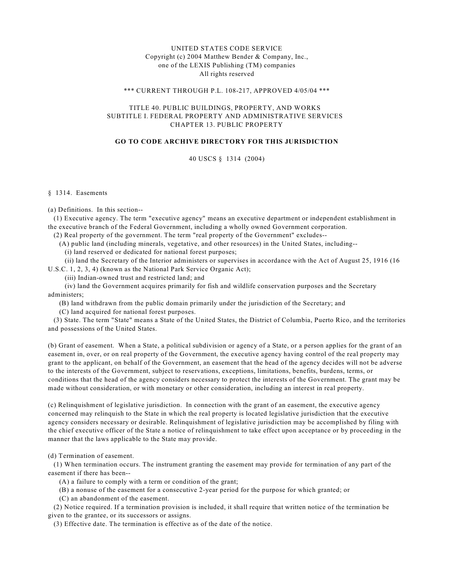# UNITED STATES CODE SERVICE Copyright (c) 2004 Matthew Bender & Company, Inc., one of the LEXIS Publishing (TM) companies All rights reserved

#### \*\*\* CURRENT THROUGH P.L. 108-217, APPROVED 4/05/04 \*\*\*

## TITLE 40. PUBLIC BUILDINGS, PROPERTY, AND WORKS SUBTITLE I. FEDERAL PROPERTY AND ADMINISTRATIVE SERVICES CHAPTER 13. PUBLIC PROPERTY

# **GO TO CODE ARCHIVE DIRECTORY FOR THIS JURISDICTION**

## 40 USCS § 1314 (2004)

#### § 1314. Easements

(a) Definitions. In this section--

 (1) Executive agency. The term "executive agency" means an executive department or independent establishment in the executive branch of the Federal Government, including a wholly owned Government corporation.

(2) Real property of the government. The term "real property of the Government" excludes--

(A) public land (including minerals, vegetative, and other resources) in the United States, including--

(i) land reserved or dedicated for national forest purposes;

 (ii) land the Secretary of the Interior administers or supervises in accordance with the Act of August 25, 1916 (16 U.S.C. 1, 2, 3, 4) (known as the National Park Service Organic Act);

(iii) Indian-owned trust and restricted land; and

 (iv) land the Government acquires primarily for fish and wildlife conservation purposes and the Secretary administers;

(B) land withdrawn from the public domain primarily under the jurisdiction of the Secretary; and

(C) land acquired for national forest purposes.

 (3) State. The term "State" means a State of the United States, the District of Columbia, Puerto Rico, and the territories and possessions of the United States.

(b) Grant of easement. When a State, a political subdivision or agency of a State, or a person applies for the grant of an easement in, over, or on real property of the Government, the executive agency having control of the real property may grant to the applicant, on behalf of the Government, an easement that the head of the agency decides will not be adverse to the interests of the Government, subject to reservations, exceptions, limitations, benefits, burdens, terms, or conditions that the head of the agency considers necessary to protect the interests of the Government. The grant may be made without consideration, or with monetary or other consideration, including an interest in real property.

(c) Relinquishment of legislative jurisdiction. In connection with the grant of an easement, the executive agency concerned may relinquish to the State in which the real property is located legislative jurisdiction that the executive agency considers necessary or desirable. Relinquishment of legislative jurisdiction may be accomplished by filing with the chief executive officer of the State a notice of relinquishment to take effect upon acceptance or by proceeding in the manner that the laws applicable to the State may provide.

(d) Termination of easement.

 (1) When termination occurs. The instrument granting the easement may provide for termination of any part of the easement if there has been--

(A) a failure to comply with a term or condition of the grant;

(B) a nonuse of the easement for a consecutive 2-year period for the purpose for which granted; or

(C) an abandonment of the easement.

 (2) Notice required. If a termination provision is included, it shall require that written notice of the termination be given to the grantee, or its successors or assigns.

(3) Effective date. The termination is effective as of the date of the notice.